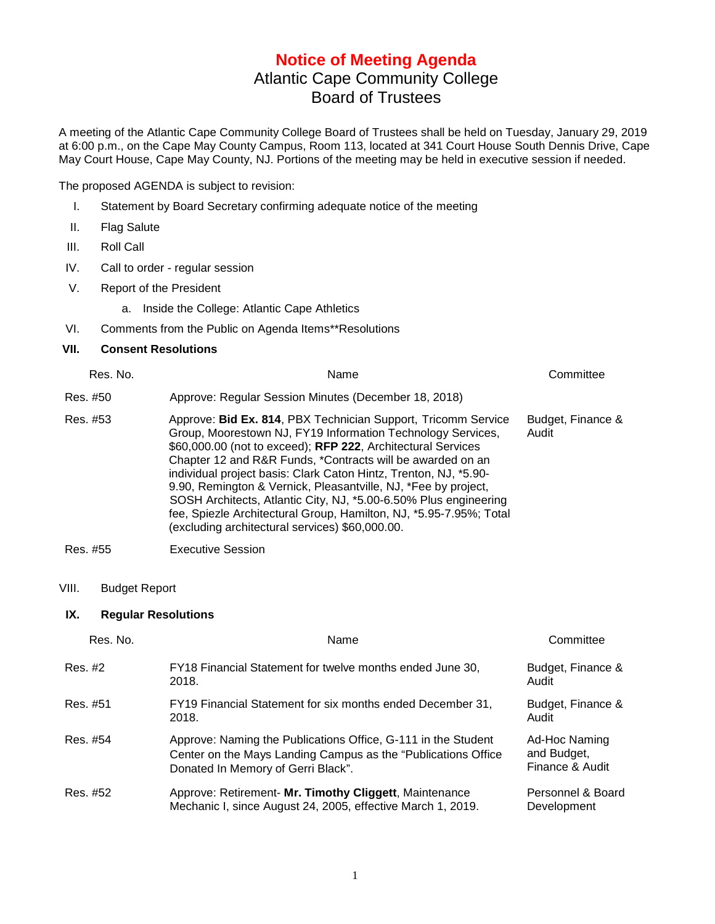## **Notice of Meeting Agenda** Atlantic Cape Community College Board of Trustees

A meeting of the Atlantic Cape Community College Board of Trustees shall be held on Tuesday, January 29, 2019 at 6:00 p.m., on the Cape May County Campus, Room 113, located at 341 Court House South Dennis Drive, Cape May Court House, Cape May County, NJ. Portions of the meeting may be held in executive session if needed.

The proposed AGENDA is subject to revision:

- I. Statement by Board Secretary confirming adequate notice of the meeting
- II. Flag Salute
- III. Roll Call
- IV. Call to order regular session
- V. Report of the President
	- a. Inside the College: Atlantic Cape Athletics
- VI. Comments from the Public on Agenda Items\*\*Resolutions

## **VII. Consent Resolutions**

| Res. No. | Name                                                                                                                                                                                                                                                                                                                                                                                                                                                                                                                                                                                          | Committee                  |
|----------|-----------------------------------------------------------------------------------------------------------------------------------------------------------------------------------------------------------------------------------------------------------------------------------------------------------------------------------------------------------------------------------------------------------------------------------------------------------------------------------------------------------------------------------------------------------------------------------------------|----------------------------|
| Res. #50 | Approve: Regular Session Minutes (December 18, 2018)                                                                                                                                                                                                                                                                                                                                                                                                                                                                                                                                          |                            |
| Res. #53 | Approve: Bid Ex. 814, PBX Technician Support, Tricomm Service<br>Group, Moorestown NJ, FY19 Information Technology Services,<br>\$60,000.00 (not to exceed); RFP 222, Architectural Services<br>Chapter 12 and R&R Funds, *Contracts will be awarded on an<br>individual project basis: Clark Caton Hintz, Trenton, NJ, *5.90-<br>9.90, Remington & Vernick, Pleasantville, NJ, *Fee by project,<br>SOSH Architects, Atlantic City, NJ, *5.00-6.50% Plus engineering<br>fee, Spiezle Architectural Group, Hamilton, NJ, *5.95-7.95%; Total<br>(excluding architectural services) \$60,000.00. | Budget, Finance &<br>Audit |

Res. #55 Executive Session

## VIII. Budget Report

## **IX. Regular Resolutions**

| Res. No. | Name                                                                                                                                                                 | Committee                                       |
|----------|----------------------------------------------------------------------------------------------------------------------------------------------------------------------|-------------------------------------------------|
| Res. #2  | FY18 Financial Statement for twelve months ended June 30,<br>2018.                                                                                                   | Budget, Finance &<br>Audit                      |
| Res. #51 | FY19 Financial Statement for six months ended December 31,<br>2018.                                                                                                  | Budget, Finance &<br>Audit                      |
| Res. #54 | Approve: Naming the Publications Office, G-111 in the Student<br>Center on the Mays Landing Campus as the "Publications Office<br>Donated In Memory of Gerri Black". | Ad-Hoc Naming<br>and Budget,<br>Finance & Audit |
| Res. #52 | Approve: Retirement- Mr. Timothy Cliggett, Maintenance<br>Mechanic I, since August 24, 2005, effective March 1, 2019.                                                | Personnel & Board<br>Development                |